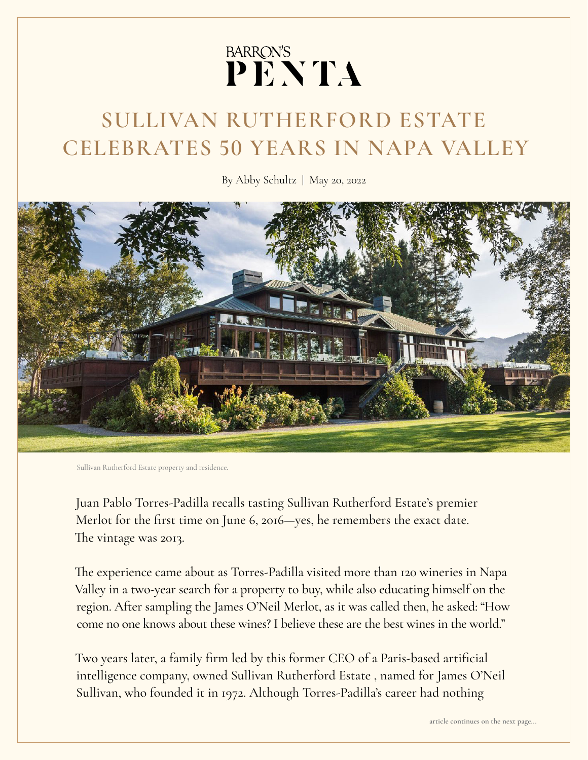## BARRON'S<br>PENTA

## **SULLIVAN RUTHERFORD ESTATE CELEBRATES 50 YEARS IN NAPA VALLEY**

By Abby Schultz | May 20, 2022



Sullivan Rutherford Estate property and residence.

Juan Pablo Torres-Padilla recalls tasting Sullivan Rutherford Estate's premier Merlot for the first time on June 6, 2016—yes, he remembers the exact date. The vintage was 2013.

The experience came about as Torres-Padilla visited more than 120 wineries in Napa Valley in a two-year search for a property to buy, while also educating himself on the region. After sampling the James O'Neil Merlot, as it was called then, he asked: "How come no one knows about these wines? I believe these are the best wines in the world."

Two years later, a family firm led by this former CEO of a Paris-based artificial intelligence company, owned Sullivan Rutherford Estate , named for James O'Neil Sullivan, who founded it in 1972. Although Torres-Padilla's career had nothing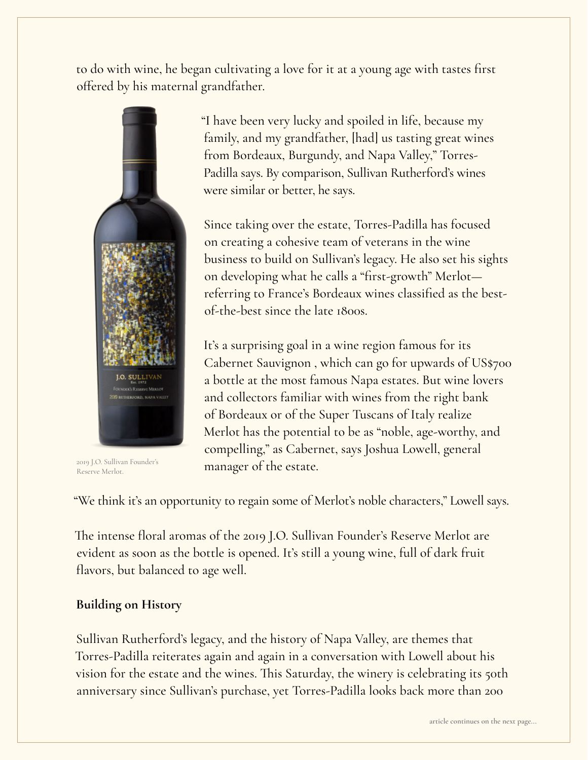to do with wine, he began cultivating a love for it at a young age with tastes first offered by his maternal grandfather.



2019 J.O. Sullivan Founder's Reserve Merlot.

"I have been very lucky and spoiled in life, because my family, and my grandfather, [had] us tasting great wines from Bordeaux, Burgundy, and Napa Valley," Torres-Padilla says. By comparison, Sullivan Rutherford's wines were similar or better, he says.

Since taking over the estate, Torres-Padilla has focused on creating a cohesive team of veterans in the wine business to build on Sullivan's legacy. He also set his sights on developing what he calls a "first-growth" Merlot referring to France's Bordeaux wines classified as the bestof-the-best since the late 1800s.

It's a surprising goal in a wine region famous for its Cabernet Sauvignon , which can go for upwards of US\$700 a bottle at the most famous Napa estates. But wine lovers and collectors familiar with wines from the right bank of Bordeaux or of the Super Tuscans of Italy realize Merlot has the potential to be as "noble, age-worthy, and compelling," as Cabernet, says Joshua Lowell, general manager of the estate.

"We think it's an opportunity to regain some of Merlot's noble characters," Lowell says.

The intense floral aromas of the 2019 J.O. Sullivan Founder's Reserve Merlot are evident as soon as the bottle is opened. It's still a young wine, full of dark fruit flavors, but balanced to age well.

## **Building on History**

Sullivan Rutherford's legacy, and the history of Napa Valley, are themes that Torres-Padilla reiterates again and again in a conversation with Lowell about his vision for the estate and the wines. This Saturday, the winery is celebrating its 50th anniversary since Sullivan's purchase, yet Torres-Padilla looks back more than 200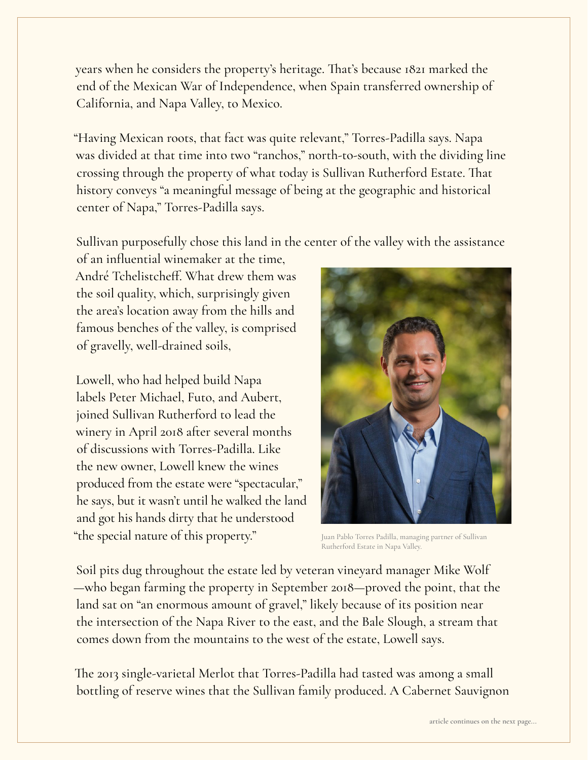years when he considers the property's heritage. That's because 1821 marked the end of the Mexican War of Independence, when Spain transferred ownership of California, and Napa Valley, to Mexico.

"Having Mexican roots, that fact was quite relevant," Torres-Padilla says. Napa was divided at that time into two "ranchos," north-to-south, with the dividing line crossing through the property of what today is Sullivan Rutherford Estate. That history conveys "a meaningful message of being at the geographic and historical center of Napa," Torres-Padilla says.

Sullivan purposefully chose this land in the center of the valley with the assistance

of an influential winemaker at the time, André Tchelistcheff. What drew them was the soil quality, which, surprisingly given the area's location away from the hills and famous benches of the valley, is comprised of gravelly, well-drained soils,

Lowell, who had helped build Napa labels Peter Michael, Futo, and Aubert, joined Sullivan Rutherford to lead the winery in April 2018 after several months of discussions with Torres-Padilla. Like the new owner, Lowell knew the wines produced from the estate were "spectacular," he says, but it wasn't until he walked the land and got his hands dirty that he understood "the special nature of this property."



Juan Pablo Torres Padilla, managing partner of Sullivan Rutherford Estate in Napa Valley.

Soil pits dug throughout the estate led by veteran vineyard manager Mike Wolf —who began farming the property in September 2018—proved the point, that the land sat on "an enormous amount of gravel," likely because of its position near the intersection of the Napa River to the east, and the Bale Slough, a stream that comes down from the mountains to the west of the estate, Lowell says.

The 2013 single-varietal Merlot that Torres-Padilla had tasted was among a small bottling of reserve wines that the Sullivan family produced. A Cabernet Sauvignon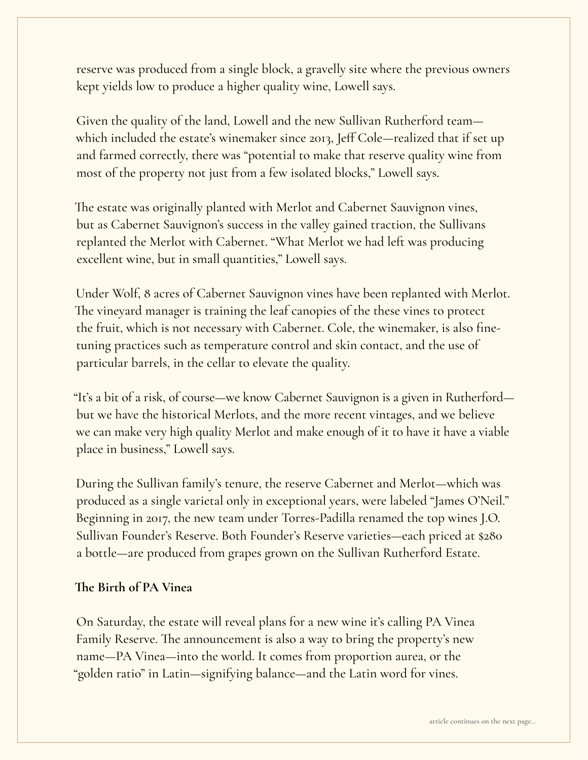reserve was produced from a single block, a gravelly site where the previous owners kept yields low to produce a higher quality wine, Lowell says.

Given the quality of the land, Lowell and the new Sullivan Rutherford team which included the estate's winemaker since 2013, Jeff Cole—realized that if set up and farmed correctly, there was "potential to make that reserve quality wine from most of the property not just from a few isolated blocks," Lowell says.

The estate was originally planted with Merlot and Cabernet Sauvignon vines, but as Cabernet Sauvignon's success in the valley gained traction, the Sullivans replanted the Merlot with Cabernet. "What Merlot we had left was producing excellent wine, but in small quantities," Lowell says.

Under Wolf, 8 acres of Cabernet Sauvignon vines have been replanted with Merlot. The vineyard manager is training the leaf canopies of the these vines to protect the fruit, which is not necessary with Cabernet. Cole, the winemaker, is also finetuning practices such as temperature control and skin contact, and the use of particular barrels, in the cellar to elevate the quality.

"It's a bit of a risk, of course—we know Cabernet Sauvignon is a given in Rutherford but we have the historical Merlots, and the more recent vintages, and we believe we can make very high quality Merlot and make enough of it to have it have a viable place in business," Lowell says.

During the Sullivan family's tenure, the reserve Cabernet and Merlot—which was produced as a single varietal only in exceptional years, were labeled "James O'Neil." Beginning in 2017, the new team under Torres-Padilla renamed the top wines J.O. Sullivan Founder's Reserve. Both Founder's Reserve varieties—each priced at \$280 a bottle—are produced from grapes grown on the Sullivan Rutherford Estate.

## **The Birth of PA Vinea**

On Saturday, the estate will reveal plans for a new wine it's calling PA Vinea Family Reserve. The announcement is also a way to bring the property's new name—PA Vinea—into the world. It comes from proportion aurea, or the "golden ratio" in Latin—signifying balance—and the Latin word for vines.